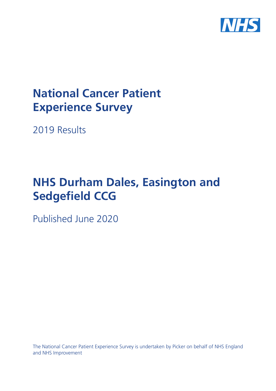

# **National Cancer Patient Experience Survey**

2019 Results

# **NHS Durham Dales, Easington and Sedgefield CCG**

Published June 2020

The National Cancer Patient Experience Survey is undertaken by Picker on behalf of NHS England and NHS Improvement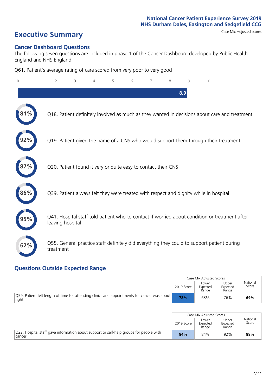# **Executive Summary** Case Mix Adjusted scores

#### **Cancer Dashboard Questions**

The following seven questions are included in phase 1 of the Cancer Dashboard developed by Public Health England and NHS England:

Q61. Patient's average rating of care scored from very poor to very good

| $\Omega$ | $\overline{2}$                                                | 3 | $\overline{4}$ | 5 | 6 | 7 | 8 | 9   | 10                                                                                            |  |
|----------|---------------------------------------------------------------|---|----------------|---|---|---|---|-----|-----------------------------------------------------------------------------------------------|--|
|          |                                                               |   |                |   |   |   |   | 8.9 |                                                                                               |  |
|          |                                                               |   |                |   |   |   |   |     | Q18. Patient definitely involved as much as they wanted in decisions about care and treatment |  |
|          |                                                               |   |                |   |   |   |   |     | Q19. Patient given the name of a CNS who would support them through their treatment           |  |
|          | Q20. Patient found it very or quite easy to contact their CNS |   |                |   |   |   |   |     |                                                                                               |  |
| 86%      |                                                               |   |                |   |   |   |   |     | Q39. Patient always felt they were treated with respect and dignity while in hospital         |  |
|          | leaving hospital                                              |   |                |   |   |   |   |     | Q41. Hospital staff told patient who to contact if worried about condition or treatment after |  |
| 62%      | treatment                                                     |   |                |   |   |   |   |     | Q55. General practice staff definitely did everything they could to support patient during    |  |

### **Questions Outside Expected Range**

|                                                                                                       |            | Case Mix Adjusted Scores   |                            |                   |
|-------------------------------------------------------------------------------------------------------|------------|----------------------------|----------------------------|-------------------|
|                                                                                                       | 2019 Score | Lower<br>Expected<br>Range | Upper<br>Expected<br>Range | National<br>Score |
| O59. Patient felt length of time for attending clinics and appointments for cancer was about<br>right | 78%        | 63%                        | 76%                        | 69%               |

|                                                                                                  |            | Case Mix Adjusted Scores   |                            |                   |
|--------------------------------------------------------------------------------------------------|------------|----------------------------|----------------------------|-------------------|
|                                                                                                  | 2019 Score | Lower<br>Expected<br>Range | Upper<br>Expected<br>Range | National<br>Score |
| Q22. Hospital staff gave information about support or self-help groups for people with<br>cancer | 84%        | 84%                        | 92%                        | 88%               |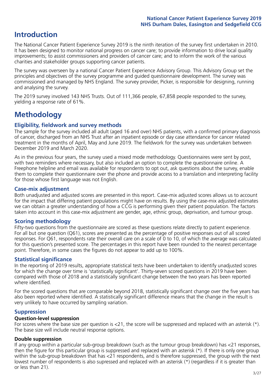# **Introduction**

The National Cancer Patient Experience Survey 2019 is the ninth iteration of the survey first undertaken in 2010. It has been designed to monitor national progress on cancer care; to provide information to drive local quality improvements; to assist commissioners and providers of cancer care; and to inform the work of the various charities and stakeholder groups supporting cancer patients.

The survey was overseen by a national Cancer Patient Experience Advisory Group. This Advisory Group set the principles and objectives of the survey programme and guided questionnaire development. The survey was commissioned and managed by NHS England. The survey provider, Picker, is responsible for designing, running and analysing the survey.

The 2019 survey involved 143 NHS Trusts. Out of 111,366 people, 67,858 people responded to the survey, yielding a response rate of 61%.

# **Methodology**

#### **Eligibility, eldwork and survey methods**

The sample for the survey included all adult (aged 16 and over) NHS patients, with a confirmed primary diagnosis of cancer, discharged from an NHS Trust after an inpatient episode or day case attendance for cancer related treatment in the months of April, May and June 2019. The fieldwork for the survey was undertaken between December 2019 and March 2020.

As in the previous four years, the survey used a mixed mode methodology. Questionnaires were sent by post, with two reminders where necessary, but also included an option to complete the questionnaire online. A Freephone helpline and email was available for respondents to opt out, ask questions about the survey, enable them to complete their questionnaire over the phone and provide access to a translation and interpreting facility for those whose first language was not English.

#### **Case-mix adjustment**

Both unadjusted and adjusted scores are presented in this report. Case-mix adjusted scores allows us to account for the impact that differing patient populations might have on results. By using the case-mix adjusted estimates we can obtain a greater understanding of how a CCG is performing given their patient population. The factors taken into account in this case-mix adjustment are gender, age, ethnic group, deprivation, and tumour group.

#### **Scoring methodology**

Fifty-two questions from the questionnaire are scored as these questions relate directly to patient experience. For all but one question (Q61), scores are presented as the percentage of positive responses out of all scored responses. For Q61, respondents rate their overall care on a scale of 0 to 10, of which the average was calculated for this question's presented score. The percentages in this report have been rounded to the nearest percentage point. Therefore, in some cases the figures do not appear to add up to 100%.

#### **Statistical significance**

In the reporting of 2019 results, appropriate statistical tests have been undertaken to identify unadjusted scores for which the change over time is 'statistically significant'. Thirty-seven scored questions in 2019 have been compared with those of 2018 and a statistically significant change between the two years has been reported where identified.

For the scored questions that are comparable beyond 2018, statistically significant change over the five years has also been reported where identified. A statistically significant difference means that the change in the result is very unlikely to have occurred by sampling variation.

#### **Suppression**

#### **Question-level suppression**

For scores where the base size per question is  $<$ 21, the score will be suppressed and replaced with an asterisk (\*). The base size will include neutral response options.

#### **Double suppression**

If any group within a particular sub-group breakdown (such as the tumour group breakdown) has <21 responses, then the figure for this particular group is suppressed and replaced with an asterisk (\*). If there is only one group within the sub-group breakdown that has <21 respondents, and is therefore suppressed, the group with the next lowest number of respondents is also supressed and replaced with an asterisk (\*) (regardless if it is greater than or less than 21).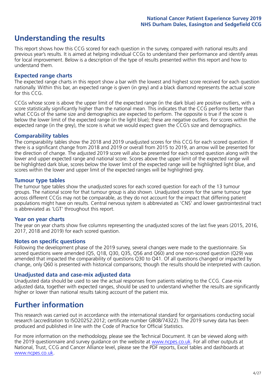# **Understanding the results**

This report shows how this CCG scored for each question in the survey, compared with national results and previous year's results. It is aimed at helping individual CCGs to understand their performance and identify areas for local improvement. Below is a description of the type of results presented within this report and how to understand them.

#### **Expected range charts**

The expected range charts in this report show a bar with the lowest and highest score received for each question nationally. Within this bar, an expected range is given (in grey) and a black diamond represents the actual score for this CCG.

CCGs whose score is above the upper limit of the expected range (in the dark blue) are positive outliers, with a score statistically significantly higher than the national mean. This indicates that the CCG performs better than what CCGs of the same size and demographics are expected to perform. The opposite is true if the score is below the lower limit of the expected range (in the light blue); these are negative outliers. For scores within the expected range (in the grey), the score is what we would expect given the CCG's size and demographics.

#### **Comparability tables**

The comparability tables show the 2018 and 2019 unadjusted scores for this CCG for each scored question. If there is a significant change from 2018 and 2019 or overall from 2015 to 2019, an arrow will be presented for the direction of change. The adjusted 2019 score will also be presented for each scored question along with the lower and upper expected range and national score. Scores above the upper limit of the expected range will be highlighted dark blue, scores below the lower limit of the expected range will be highlighted light blue, and scores within the lower and upper limit of the expected ranges will be highlighted grey.

#### **Tumour type tables**

The tumour type tables show the unadjusted scores for each scored question for each of the 13 tumour groups. The national score for that tumour group is also shown. Unadjusted scores for the same tumour type across different CCGs may not be comparable, as they do not account for the impact that differing patient populations might have on results. Central nervous system is abbreviated as 'CNS' and lower gastrointestinal tract is abbreviated as 'LGT' throughout this report.

#### **Year on year charts**

The year on year charts show five columns representing the unadjusted scores of the last five years (2015, 2016, 2017, 2018 and 2019) for each scored question.

#### **Notes on specific questions**

Following the development phase of the 2019 survey, several changes were made to the questionnaire. Six scored questions were amended (Q5, Q18, Q30, Q35, Q56 and Q60) and one non-scored question (Q29) was amended that impacted the comparability of questions Q30 to Q41. Of all questions changed or impacted by change, only Q60 is presented with historical comparisons; though the results should be interpreted with caution.

#### **Unadjusted data and case-mix adjusted data**

Unadjusted data should be used to see the actual responses from patients relating to the CCG. Case-mix adjusted data, together with expected ranges, should be used to understand whether the results are significantly higher or lower than national results taking account of the patient mix.

### **Further information**

This research was carried out in accordance with the international standard for organisations conducting social research (accreditation to ISO20252:2012; certificate number GB08/74322). The 2019 survey data has been produced and published in line with the Code of Practice for Official Statistics.

For more information on the methodology, please see the Technical Document. It can be viewed along with the 2019 questionnaire and survey quidance on the website at [www.ncpes.co.uk](https://www.ncpes.co.uk/supporting-documents). For all other outputs at National, Trust, CCG and Cancer Alliance level, please see the PDF reports, Excel tables and dashboards at [www.ncpes.co.uk.](https://www.ncpes.co.uk/current-results)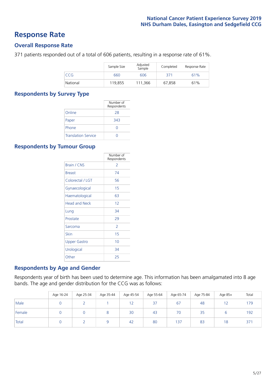### **Response Rate**

#### **Overall Response Rate**

371 patients responded out of a total of 606 patients, resulting in a response rate of 61%.

|          | Sample Size | Adjusted<br>Sample | Completed | Response Rate |
|----------|-------------|--------------------|-----------|---------------|
| CCG      | 660         | 606                | 371       | 61%           |
| National | 119,855     | 111.366            | 67,858    | 61%           |

#### **Respondents by Survey Type**

|                            | Number of<br>Respondents |
|----------------------------|--------------------------|
| Online                     | 28                       |
| Paper                      | 343                      |
| Phone                      |                          |
| <b>Translation Service</b> |                          |

#### **Respondents by Tumour Group**

|                      | Number of<br>Respondents |
|----------------------|--------------------------|
| <b>Brain / CNS</b>   | $\mathcal{P}$            |
| <b>Breast</b>        | 74                       |
| Colorectal / LGT     | 56                       |
| Gynaecological       | 15                       |
| Haematological       | 63                       |
| <b>Head and Neck</b> | 12                       |
| Lung                 | 34                       |
| Prostate             | 29                       |
| Sarcoma              | $\mathcal{P}$            |
| Skin                 | 15                       |
| <b>Upper Gastro</b>  | 10                       |
| Urological           | 34                       |
| Other                | 25                       |

#### **Respondents by Age and Gender**

Respondents year of birth has been used to determine age. This information has been amalgamated into 8 age bands. The age and gender distribution for the CCG was as follows:

|        | Age 16-24 | Age 25-34 | Age 35-44 | Age 45-54 | Age 55-64 | Age 65-74 | Age 75-84 | Age 85+ | Total |
|--------|-----------|-----------|-----------|-----------|-----------|-----------|-----------|---------|-------|
| Male   |           |           |           | 1つ<br>ے ا | 37        | 67        | 48        |         | 179   |
| Female |           |           | 8         | 30        | 43        | 70        | 35        |         | 192   |
| Total  |           |           |           | 42        | 80        | 137       | 83        | 18      | 371   |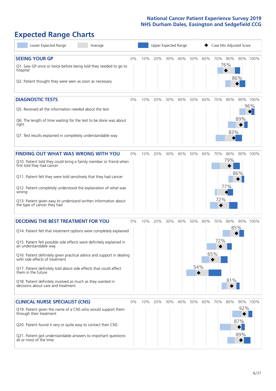# **Expected Range Charts**

| Lower Expected Range<br>Average                                                                         |    |     | Upper Expected Range |     |     |     |     | Case Mix Adjusted Score |                |     |          |
|---------------------------------------------------------------------------------------------------------|----|-----|----------------------|-----|-----|-----|-----|-------------------------|----------------|-----|----------|
| <b>SEEING YOUR GP</b>                                                                                   | 0% | 10% | 20%                  | 30% | 40% | 50% | 60% |                         | 70% 80%<br>76% |     | 90% 100% |
| Q1. Saw GP once or twice before being told they needed to go to<br>hospital                             |    |     |                      |     |     |     |     |                         |                | 86% |          |
| Q2. Patient thought they were seen as soon as necessary                                                 |    |     |                      |     |     |     |     |                         |                |     |          |
| <b>DIAGNOSTIC TESTS</b>                                                                                 | 0% | 10% | 20%                  | 30% | 40% | 50% | 60% | 70%                     | 80%            |     | 90% 100% |
| Q5. Received all the information needed about the test                                                  |    |     |                      |     |     |     |     |                         |                |     | 96%      |
| Q6. The length of time waiting for the test to be done was about<br>right                               |    |     |                      |     |     |     |     |                         |                | 89% |          |
| Q7. Test results explained in completely understandable way                                             |    |     |                      |     |     |     |     |                         | 83%            |     |          |
| <b>FINDING OUT WHAT WAS WRONG WITH YOU</b>                                                              | 0% | 10% | 20%                  | 30% | 40% | 50% | 60% | 70%                     | 80%            |     | 90% 100% |
| Q10. Patient told they could bring a family member or friend when<br>first told they had cancer         |    |     |                      |     |     |     |     |                         | 79%            |     |          |
| Q11. Patient felt they were told sensitively that they had cancer                                       |    |     |                      |     |     |     |     |                         |                | 86% |          |
| Q12. Patient completely understood the explanation of what was<br>wrong                                 |    |     |                      |     |     |     |     |                         | 77%            |     |          |
| Q13. Patient given easy to understand written information about<br>the type of cancer they had          |    |     |                      |     |     |     |     | 72%                     |                |     |          |
| <b>DECIDING THE BEST TREATMENT FOR YOU</b>                                                              | 0% | 10% | 20%                  | 30% | 40% | 50% | 60% | 70%                     | 80%            |     | 90% 100% |
| Q14. Patient felt that treatment options were completely explained                                      |    |     |                      |     |     |     |     |                         |                | 85% |          |
| Q15. Patient felt possible side effects were definitely explained in<br>an understandable way           |    |     |                      |     |     |     |     | 72%                     |                |     |          |
| Q16. Patient definitely given practical advice and support in dealing<br>with side effects of treatment |    |     |                      |     |     |     |     | 65%                     |                |     |          |
| Q17. Patient definitely told about side effects that could affect<br>them in the future                 |    |     |                      |     |     | 54% |     |                         |                |     |          |
| Q18. Patient definitely involved as much as they wanted in<br>decisions about care and treatment        |    |     |                      |     |     |     |     |                         | 81%            |     |          |
| <b>CLINICAL NURSE SPECIALIST (CNS)</b>                                                                  | 0% | 10% | 20%                  | 30% | 40% | 50% | 60% | 70%                     | 80%            |     | 90% 100% |
| Q19. Patient given the name of a CNS who would support them<br>through their treatment                  |    |     |                      |     |     |     |     |                         |                | 92% |          |
| Q20. Patient found it very or quite easy to contact their CNS                                           |    |     |                      |     |     |     |     |                         |                | 87% |          |
| Q21. Patient got understandable answers to important questions<br>all or most of the time               |    |     |                      |     |     |     |     |                         |                | 89% |          |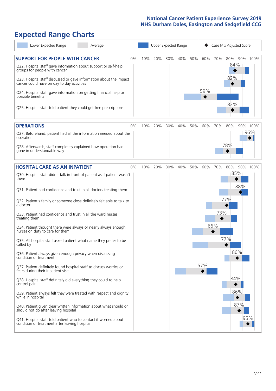# **Expected Range Charts**

| Lower Expected Range<br>Average                                                                                                                                                                                 |       |     |     |     | Upper Expected Range |     |     |     | Case Mix Adjusted Score |          |
|-----------------------------------------------------------------------------------------------------------------------------------------------------------------------------------------------------------------|-------|-----|-----|-----|----------------------|-----|-----|-----|-------------------------|----------|
| <b>SUPPORT FOR PEOPLE WITH CANCER</b><br>Q22. Hospital staff gave information about support or self-help<br>groups for people with cancer<br>Q23. Hospital staff discussed or gave information about the impact | 0%    | 10% | 20% | 30% | 40%                  | 50% | 60% | 70% | 80%<br>84%<br>82%       | 90% 100% |
| cancer could have on day to day activities<br>Q24. Hospital staff gave information on getting financial help or<br>possible benefits                                                                            |       |     |     |     |                      |     | 59% |     | 82%                     |          |
| Q25. Hospital staff told patient they could get free prescriptions                                                                                                                                              |       |     |     |     |                      |     |     |     |                         |          |
| <b>OPERATIONS</b>                                                                                                                                                                                               | $0\%$ | 10% | 20% | 30% | 40%                  | 50% | 60% | 70% | 80%                     | 90% 100% |
| Q27. Beforehand, patient had all the information needed about the<br>operation                                                                                                                                  |       |     |     |     |                      |     |     |     |                         | 96%      |
| Q28. Afterwards, staff completely explained how operation had<br>gone in understandable way                                                                                                                     |       |     |     |     |                      |     |     |     | 78%                     |          |
| <b>HOSPITAL CARE AS AN INPATIENT</b>                                                                                                                                                                            | 0%    | 10% | 20% | 30% | 40%                  | 50% | 60% | 70% | 80%                     | 90% 100% |
| Q30. Hospital staff didn't talk in front of patient as if patient wasn't<br>there                                                                                                                               |       |     |     |     |                      |     |     |     | 85%<br>88%              |          |
| Q31. Patient had confidence and trust in all doctors treating them                                                                                                                                              |       |     |     |     |                      |     |     |     |                         |          |
| Q32. Patient's family or someone close definitely felt able to talk to<br>a doctor                                                                                                                              |       |     |     |     |                      |     |     |     | 77%                     |          |
| Q33. Patient had confidence and trust in all the ward nurses<br>treating them                                                                                                                                   |       |     |     |     |                      |     |     | 73% |                         |          |
| Q34. Patient thought there were always or nearly always enough<br>nurses on duty to care for them                                                                                                               |       |     |     |     |                      |     |     | 66% |                         |          |
| Q35. All hospital staff asked patient what name they prefer to be<br>called by                                                                                                                                  |       |     |     |     |                      |     |     |     | 77%                     |          |
| Q36. Patient always given enough privacy when discussing<br>condition or treatment                                                                                                                              |       |     |     |     |                      |     |     |     | 86%                     |          |
| Q37. Patient definitely found hospital staff to discuss worries or<br>fears during their inpatient visit                                                                                                        |       |     |     |     |                      |     | 57% |     |                         |          |
| Q38. Hospital staff definitely did everything they could to help<br>control pain                                                                                                                                |       |     |     |     |                      |     |     |     | 84%                     |          |
| Q39. Patient always felt they were treated with respect and dignity<br>while in hospital                                                                                                                        |       |     |     |     |                      |     |     |     | 86%                     |          |
| Q40. Patient given clear written information about what should or<br>should not do after leaving hospital                                                                                                       |       |     |     |     |                      |     |     |     | 87%                     |          |
| Q41. Hospital staff told patient who to contact if worried about<br>condition or treatment after leaving hospital                                                                                               |       |     |     |     |                      |     |     |     |                         | 95%      |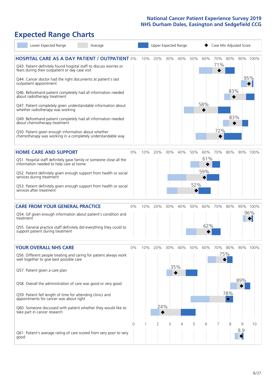# **Expected Range Charts**

| Lower Expected Range<br>Average                                                                                                                                                                                                                                                                                                                                                                                                                             |       |     |            |     | Upper Expected Range |            |                   | Case Mix Adjusted Score |                        |          |                 |
|-------------------------------------------------------------------------------------------------------------------------------------------------------------------------------------------------------------------------------------------------------------------------------------------------------------------------------------------------------------------------------------------------------------------------------------------------------------|-------|-----|------------|-----|----------------------|------------|-------------------|-------------------------|------------------------|----------|-----------------|
| <b>HOSPITAL CARE AS A DAY PATIENT / OUTPATIENT 0%</b><br>Q43. Patient definitely found hospital staff to discuss worries or<br>fears during their outpatient or day case visit<br>Q44. Cancer doctor had the right documents at patient's last<br>outpatient appointment<br>Q46. Beforehand patient completely had all information needed                                                                                                                   |       | 10% | 20%        | 30% | 40%                  | 50%        | 60%               | 71%                     | 70% 80%<br>83%         |          | 90% 100%<br>95% |
| about radiotherapy treatment<br>Q47. Patient completely given understandable information about<br>whether radiotherapy was working<br>Q49. Beforehand patient completely had all information needed<br>about chemotherapy treatment<br>Q50. Patient given enough information about whether<br>chemotherapy was working in a completely understandable way                                                                                                   |       |     |            |     |                      |            | 58%               | 72%                     | 83%                    |          |                 |
| <b>HOME CARE AND SUPPORT</b><br>Q51. Hospital staff definitely gave family or someone close all the<br>information needed to help care at home<br>Q52. Patient definitely given enough support from health or social<br>services during treatment<br>Q53. Patient definitely given enough support from health or social<br>services after treatment                                                                                                         | 0%    | 10% | 20%        | 30% | 40%                  | 50%<br>52% | 60%<br>61%<br>59% | 70%                     | 80%                    |          | 90% 100%        |
| <b>CARE FROM YOUR GENERAL PRACTICE</b><br>Q54. GP given enough information about patient's condition and<br>treatment<br>Q55. General practice staff definitely did everything they could to<br>support patient during treatment                                                                                                                                                                                                                            | 0%    | 10% | 20%        | 30% | 40%                  | 50%        | 60%<br>62%        | 70%                     | 80%                    |          | 90% 100%<br>96% |
| <b>YOUR OVERALL NHS CARE</b><br>Q56. Different people treating and caring for patient always work<br>well together to give best possible care<br>Q57. Patient given a care plan<br>Q58. Overall the administration of care was good or very good<br>Q59. Patient felt length of time for attending clinics and<br>appointments for cancer was about right<br>Q60. Someone discussed with patient whether they would like to<br>take part in cancer research | $0\%$ | 10% | 20%<br>24% | 30% | 40%<br>35%           | 50%        | 60%               | 70%                     | 80%<br>75%<br>78%<br>♦ | 89%      | 90% 100%        |
| Q61. Patient's average rating of care scored from very poor to very<br>good                                                                                                                                                                                                                                                                                                                                                                                 | 0     |     | 2          | 3   | 4                    | 5          | 6                 | 7                       | 8                      | 9<br>8.9 | 10              |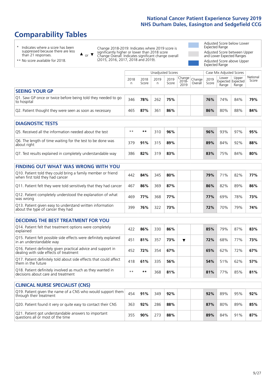# **Comparability Tables**

\* Indicates where a score has been suppressed because there are less than 21 responses.

\*\* No score available for 2018.

 $\triangle$  or  $\nabla$ 

Change 2018-2019: Indicates where 2019 score is significantly higher or lower than 2018 score Change Overall: Indicates significant change overall (2015, 2016, 2017, 2018 and 2019).

Adjusted Score below Lower Expected Range Adjusted Score between Upper and Lower Expected Ranges Adjusted Score above Upper Expected Range

|                                                                             |           |               | Unadjusted Scores |               |                         |                   |               | Case Mix Adjusted Scores |                                     |                   |
|-----------------------------------------------------------------------------|-----------|---------------|-------------------|---------------|-------------------------|-------------------|---------------|--------------------------|-------------------------------------|-------------------|
|                                                                             | 2018<br>n | 2018<br>Score | 2019<br>n         | 2019<br>Score | Change<br>2018-<br>2019 | Change<br>Overall | 2019<br>Score | Lower<br>Range           | Upper<br>Expected Expected<br>Range | National<br>Score |
| <b>SEEING YOUR GP</b>                                                       |           |               |                   |               |                         |                   |               |                          |                                     |                   |
| Q1. Saw GP once or twice before being told they needed to go<br>to hospital | 346       | 78%           | 262               | 75%           |                         |                   | 76%           | 74%                      | 84%                                 | 79%               |
| Q2. Patient thought they were seen as soon as necessary                     | 465       | 87%           | 361               | 86%           |                         |                   | 86%           | 80%                      | 88%                                 | 84%               |
|                                                                             |           |               |                   |               |                         |                   |               |                          |                                     |                   |
| <b>DIAGNOSTIC TESTS</b>                                                     |           |               |                   |               |                         |                   |               |                          |                                     |                   |
| Q5. Received all the information needed about the test                      | $***$     | **            | 310               | 96%           |                         |                   | 96%           | 93%                      | 97%                                 | 95%               |

| <u>US. NCCCIVED ON THE INTERNATION NECESSARY ORIGINAL THE TEST </u>       |     |     |     | 39 W |  | JU 70 | <i>JJ 1</i> U | <i>JIV</i> | <i>,,,</i> , |
|---------------------------------------------------------------------------|-----|-----|-----|------|--|-------|---------------|------------|--------------|
| Q6. The length of time waiting for the test to be done was<br>about right | 379 | 91% | 315 | 89%  |  | 89%   | 84%           | 92%        | 88%          |
| Q7. Test results explained in completely understandable way               | 386 | 82% | 319 | 83%  |  | 83%   | 75%           | 84%        | 80%          |

| <b>FINDING OUT WHAT WAS WRONG WITH YOU</b>                                                      |     |     |     |     |     |     |     |     |
|-------------------------------------------------------------------------------------------------|-----|-----|-----|-----|-----|-----|-----|-----|
| Q10. Patient told they could bring a family member or friend<br>when first told they had cancer | 442 | 84% | 345 | 80% | 79% | 71% | 82% | 77% |
| Q11. Patient felt they were told sensitively that they had cancer                               | 467 | 86% | 369 | 87% | 86% | 82% | 89% | 86% |
| Q12. Patient completely understood the explanation of what<br>was wrong                         | 469 | 77% | 368 | 77% | 77% | 69% | 78% | 73% |
| Q13. Patient given easy to understand written information<br>about the type of cancer they had  | 399 | 76% | 322 | 73% | 72% | 70% | 79% | 74% |

| <b>DECIDING THE BEST TREATMENT FOR YOU</b>                                                              |      |     |     |     |  |     |     |     |     |
|---------------------------------------------------------------------------------------------------------|------|-----|-----|-----|--|-----|-----|-----|-----|
| Q14. Patient felt that treatment options were completely<br>explained                                   | 422  | 86% | 330 | 86% |  | 85% | 79% | 87% | 83% |
| Q15. Patient felt possible side effects were definitely explained<br>in an understandable way           | 451  | 81% | 357 | 73% |  | 72% | 68% | 77% | 73% |
| Q16. Patient definitely given practical advice and support in<br>dealing with side effects of treatment | 452  | 72% | 354 | 67% |  | 65% | 62% | 72% | 67% |
| Q17. Patient definitely told about side effects that could affect<br>them in the future                 | 418  | 61% | 335 | 56% |  | 54% | 51% | 62% | 57% |
| Q18. Patient definitely involved as much as they wanted in<br>decisions about care and treatment        | $**$ | **  | 368 | 81% |  | 81% | 77% | 85% | 81% |

| <b>CLINICAL NURSE SPECIALIST (CNS)</b>                                                    |     |     |     |     |     |     |     |     |
|-------------------------------------------------------------------------------------------|-----|-----|-----|-----|-----|-----|-----|-----|
| Q19. Patient given the name of a CNS who would support them<br>through their treatment    | 454 | 91% | 349 | 92% | 92% | 89% | 95% | 92% |
| Q20. Patient found it very or quite easy to contact their CNS                             | 363 | 92% | 286 | 88% | 87% | 80% | 89% | 85% |
| Q21. Patient got understandable answers to important<br>questions all or most of the time | 355 | 90% | 273 | 88% | 89% | 84% | 91% | 87% |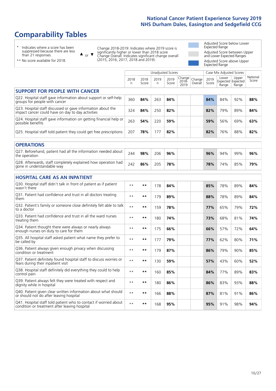# **Comparability Tables**

\* Indicates where a score has been suppressed because there are less than 21 responses.

\*\* No score available for 2018.

 $\triangle$  or  $\nabla$ 

Change 2018-2019: Indicates where 2019 score is significantly higher or lower than 2018 score Change Overall: Indicates significant change overall (2015, 2016, 2017, 2018 and 2019).

Adjusted Score below Lower Expected Range Adjusted Score between Upper and Lower Expected Ranges Adjusted Score above Upper Expected Range

|                                                                                                                   |              |               | <b>Unadjusted Scores</b> |               |                         |                   |               | Case Mix Adjusted Scores |                                     |                   |
|-------------------------------------------------------------------------------------------------------------------|--------------|---------------|--------------------------|---------------|-------------------------|-------------------|---------------|--------------------------|-------------------------------------|-------------------|
|                                                                                                                   | 2018<br>n    | 2018<br>Score | 2019<br>n                | 2019<br>Score | Change<br>2018-<br>2019 | Change<br>Overall | 2019<br>Score | Lower<br>Range           | Upper<br>Expected Expected<br>Range | National<br>Score |
| <b>SUPPORT FOR PEOPLE WITH CANCER</b>                                                                             |              |               |                          |               |                         |                   |               |                          |                                     |                   |
| Q22. Hospital staff gave information about support or self-help<br>groups for people with cancer                  | 360          | 84%           | 263                      | 84%           |                         |                   | 84%           | 84%                      | 92%                                 | 88%               |
| Q23. Hospital staff discussed or gave information about the<br>impact cancer could have on day to day activities  | 324          | 84%           | 250                      | 82%           |                         |                   | 82%           | 79%                      | 89%                                 | 84%               |
| Q24. Hospital staff gave information on getting financial help or<br>possible benefits                            | 263          | 54%           | 220                      | 59%           |                         |                   | 59%           | 56%                      | 69%                                 | 63%               |
| Q25. Hospital staff told patient they could get free prescriptions                                                | 207          | 78%           | 177                      | 82%           |                         |                   | 82%           | 76%                      | 88%                                 | 82%               |
| <b>OPERATIONS</b>                                                                                                 |              |               |                          |               |                         |                   |               |                          |                                     |                   |
| Q27. Beforehand, patient had all the information needed about<br>the operation                                    | 244          | 98%           | 206                      | 96%           |                         |                   | 96%           | 94%                      | 99%                                 | 96%               |
| Q28. Afterwards, staff completely explained how operation had<br>gone in understandable way                       | 242          | 86%           | 205                      | 78%           |                         |                   | 78%           | 74%                      | 85%                                 | 79%               |
| <b>HOSPITAL CARE AS AN INPATIENT</b>                                                                              |              |               |                          |               |                         |                   |               |                          |                                     |                   |
| Q30. Hospital staff didn't talk in front of patient as if patient<br>wasn't there                                 | $**$         | $***$         | 178                      | 84%           |                         |                   | 85%           | 78%                      | 89%                                 | 84%               |
| Q31. Patient had confidence and trust in all doctors treating<br>them                                             | $* *$        | $***$         | 179                      | 89%           |                         |                   | 88%           | 78%                      | 89%                                 | 84%               |
| Q32. Patient's family or someone close definitely felt able to talk<br>to a doctor                                | $\star\star$ | $***$         | 159                      | 78%           |                         |                   | 77%           | 65%                      | 79%                                 | 72%               |
| Q33. Patient had confidence and trust in all the ward nurses<br>treating them                                     | $* *$        | **            | 180                      | 74%           |                         |                   | 73%           | 68%                      | 81%                                 | 74%               |
| Q34. Patient thought there were always or nearly always<br>enough nurses on duty to care for them                 | $\star\star$ | $***$         | 175                      | 66%           |                         |                   | 66%           | 57%                      | 72%                                 | 64%               |
| Q35. All hospital staff asked patient what name they prefer to<br>be called by                                    | $* *$        | $***$         | 177                      | 79%           |                         |                   | 77%           | 62%                      | 80%                                 | 71%               |
| Q36. Patient always given enough privacy when discussing<br>condition or treatment                                | $* *$        | $***$         | 179                      | 87%           |                         |                   | 86%           | 79%                      | 90%                                 | 85%               |
| Q37. Patient definitely found hospital staff to discuss worries or<br>fears during their inpatient visit          | $* *$        | $***$         | 130                      | 59%           |                         |                   | 57%           | 43%                      | 60%                                 | 52%               |
| Q38. Hospital staff definitely did everything they could to help<br>control pain                                  | $* *$        | $***$         | 160                      | 85%           |                         |                   | 84%           | 77%                      | 89%                                 | 83%               |
| Q39. Patient always felt they were treated with respect and<br>dignity while in hospital                          | $***$        | $***$         | 180                      | 86%           |                         |                   | 86%           | 83%                      | 93%                                 | 88%               |
| Q40. Patient given clear written information about what should<br>or should not do after leaving hospital         | $* *$        | $***$         | 166                      | 88%           |                         |                   | 87%           | 81%                      | 91%                                 | 86%               |
| Q41. Hospital staff told patient who to contact if worried about<br>condition or treatment after leaving hospital | $**$         | $***$         | 168                      | 95%           |                         |                   | 95%           | 91%                      | 98%                                 | 94%               |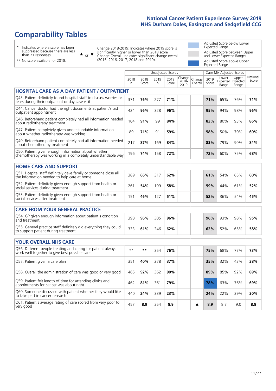# **Comparability Tables**

\* Indicates where a score has been suppressed because there are less than 21 responses.

\*\* No score available for 2018.

or  $\blacktriangledown$  $\blacktriangle$ 

Change 2018-2019: Indicates where 2019 score is significantly higher or lower than 2018 score Change Overall: Indicates significant change overall (2015, 2016, 2017, 2018 and 2019).

Adjusted Score below Lower Expected Range Adjusted Score between Upper and Lower Expected Ranges Adjusted Score above Upper Expected Range

|                                                                                                                       |           |               |            | <b>Unadjusted Scores</b> |                         |                   | Case Mix Adjusted Scores |                |                                     |                   |
|-----------------------------------------------------------------------------------------------------------------------|-----------|---------------|------------|--------------------------|-------------------------|-------------------|--------------------------|----------------|-------------------------------------|-------------------|
|                                                                                                                       | 2018<br>n | 2018<br>Score | 2019<br>n. | 2019<br>Score            | Change<br>2018-<br>2019 | Change<br>Overall | 2019<br>Score            | Lower<br>Range | Upper<br>Expected Expected<br>Range | National<br>Score |
| <b>HOSPITAL CARE AS A DAY PATIENT / OUTPATIENT</b>                                                                    |           |               |            |                          |                         |                   |                          |                |                                     |                   |
| Q43. Patient definitely found hospital staff to discuss worries or<br>fears during their outpatient or day case visit | 371       | 76%           | 277        | 71%                      |                         |                   | 71%                      | 65%            | 76%                                 | 71%               |
| Q44. Cancer doctor had the right documents at patient's last<br>outpatient appointment                                | 424       | 96%           | 328        | 96%                      |                         |                   | 95%                      | 94%            | 98%                                 | 96%               |
| Q46. Beforehand patient completely had all information needed<br>about radiotherapy treatment                         | 104       | 91%           | 99         | 84%                      |                         |                   | 83%                      | 80%            | 93%                                 | 86%               |
| Q47. Patient completely given understandable information<br>about whether radiotherapy was working                    | 89        | 71%           | 91         | 59%                      |                         |                   | 58%                      | 50%            | 70%                                 | 60%               |
| Q49. Beforehand patient completely had all information needed<br>about chemotherapy treatment                         | 217       | 87%           | 169        | 84%                      |                         |                   | 83%                      | 79%            | 90%                                 | 84%               |
| Q50. Patient given enough information about whether<br>chemotherapy was working in a completely understandable way    | 196       | 74%           | 158        | 72%                      |                         |                   | 72%                      | 60%            | 75%                                 | 68%               |
| <b>HOME CARE AND SUPPORT</b>                                                                                          |           |               |            |                          |                         |                   |                          |                |                                     |                   |
| Q51. Hospital staff definitely gave family or someone close all<br>the information needed to help care at home        | 389       | 66%           | 317        | 62%                      |                         |                   | 61%                      | 54%            | 65%                                 | 60%               |
| Q52. Patient definitely given enough support from health or<br>social services during treatment                       | 261       | 54%           | 199        | 58%                      |                         |                   | 59%                      | 44%            | 61%                                 | 52%               |
| Q53. Patient definitely given enough support from health or<br>social services after treatment                        | 151       | 46%           | 127        | 51%                      |                         |                   | 52%                      | 36%            | 54%                                 | 45%               |
| <b>CARE FROM YOUR GENERAL PRACTICE</b>                                                                                |           |               |            |                          |                         |                   |                          |                |                                     |                   |
| Q54. GP given enough information about patient's condition<br>and treatment                                           | 398       | 96%           | 305        | 96%                      |                         |                   | 96%                      | 93%            | 98%                                 | 95%               |
| Q55. General practice staff definitely did everything they could<br>to support patient during treatment               | 333       | 61%           | 246        | 62%                      |                         |                   | 62%                      | 52%            | 65%                                 | 58%               |
| <b>YOUR OVERALL NHS CARE</b>                                                                                          |           |               |            |                          |                         |                   |                          |                |                                     |                   |
| Q56. Different people treating and caring for patient always                                                          |           |               |            |                          |                         |                   |                          |                |                                     |                   |
| work well together to give best possible care                                                                         | $***$     | **            | 354        | 76%                      |                         |                   | 75%                      | 68%            | 77%                                 | 73%               |
| Q57. Patient given a care plan                                                                                        | 351       | 40%           | 278        | 37%                      |                         |                   | 35%                      | 32%            | 43%                                 | 38%               |
| Q58. Overall the administration of care was good or very good                                                         | 465       | 92%           | 362        | 90%                      |                         |                   | 89%                      | 85%            | 92%                                 | 89%               |
| Q59. Patient felt length of time for attending clinics and<br>appointments for cancer was about right                 | 462       | 81%           | 361        | 79%                      |                         |                   | 78%                      | 63%            | 76%                                 | 69%               |
| Q60. Someone discussed with patient whether they would like<br>to take part in cancer research                        | 440       | 24%           | 339        | 23%                      |                         |                   | 24%                      | 22%            | 39%                                 | 30%               |

Q61. Patient's average rating of care scored from very poor to very good <sup>457</sup> **8.9** <sup>354</sup> **8.9 8.9** 8.7 9.0 **8.8**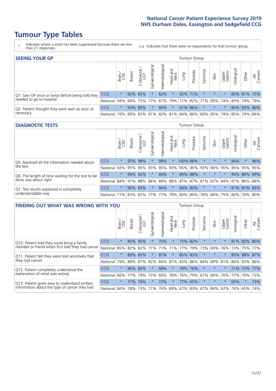# **Tumour Type Tables**

- \* Indicates where a score has been suppressed because there are less than 21 responses.
- n.a. Indicates that there were no respondents for that tumour group.

| <b>SEEING YOUR GP</b>                           |                                                                  |              |               |                   |                    |                |                  |      | Tumour Group |         |         |                 |            |             |                |
|-------------------------------------------------|------------------------------------------------------------------|--------------|---------------|-------------------|--------------------|----------------|------------------|------|--------------|---------|---------|-----------------|------------|-------------|----------------|
|                                                 |                                                                  | Brain<br>CNS | <b>Breast</b> | Colorectal<br>LGT | ᠊ᢛ<br>Gynaecologic | Haematological | Head and<br>Neck | Lung | Prostate     | Sarcoma | Skin    | Upper<br>Gastro | Jrological | Other       | All<br>Cancers |
| Q1. Saw GP once or twice before being told they | <b>CCG</b>                                                       | $\star$      |               | 92% 65%           |                    | 62%            | $\star$          |      | 62% 71%      |         | $\star$ | $\star$         |            | 85% 81% 75% |                |
| needed to go to hospital                        | National 59% 94% 75% 77% 67% 79% 71% 82% 71% 90% 74% 83% 74% 79% |              |               |                   |                    |                |                  |      |              |         |         |                 |            |             |                |
| Q2. Patient thought they were seen as soon as   | <b>CCG</b>                                                       | $\star$      |               | 93% 85%           |                    | 84%            | $\star$          |      | 81% 86%      |         | $\star$ |                 |            | 85% 83% 86% |                |
| necessary                                       | National 79% 89% 83% 81% 82% 81% 84% 86% 69% 85% 79% 85% 79%     |              |               |                   |                    |                |                  |      |              |         |         |                 |            |             | 84%            |

#### **DIAGNOSTIC TESTS** Tumour Group

|                                                   |              | Brain   | <b>Breast</b> | ╮<br>Colorectal             | ᢛ<br>Gynaecologic | Haematological | Head and<br>Neck | Lung        | Prostate | Sarcoma | Skin    | Upper<br>Gastro | Urological                                                      | Other   | All<br>Cancers |
|---------------------------------------------------|--------------|---------|---------------|-----------------------------|-------------------|----------------|------------------|-------------|----------|---------|---------|-----------------|-----------------------------------------------------------------|---------|----------------|
| Q5. Received all the information needed about     | <b>CCG</b>   | $\star$ |               | 97% 98%                     |                   | 98%            | $\star$          | 100% 88%    |          |         | $\star$ | $\star$         | 94%                                                             | $\star$ | 96%            |
| the test                                          | National     | 93%     | 95%           | 95%                         | 93%               | 95%            |                  | 93% 95% 95% |          | 93%     | 96%     | 95%             | 95%                                                             | 95%     | 95%            |
| Q6. The length of time waiting for the test to be | <b>CCG</b>   | $\star$ |               | 94% 92%                     | $\star$           | 84%            | $\star$          |             | 84% 88%  |         | $\star$ | $\star$         |                                                                 |         | 90% 86% 89%    |
| done was about right                              | National     |         |               | 84% 91% 88%                 |                   |                |                  |             |          |         |         |                 | 86%   89%   88%   87%   87%   81%   87%   84%   87%   86%   88% |         |                |
| Q7. Test results explained in completely          | <b>CCG</b>   | $\star$ |               | 90% 83%                     | $\star$           | 84%            | $\star$          |             | 84% 80%  |         | $\star$ | $\star$         |                                                                 |         | 81% 81% 83%    |
| understandable way                                | National 71% |         |               | 83% 82% 77% 77% 79% 80% 80% |                   |                |                  |             |          |         |         |                 | 78% 84% 75% 80% 76% 80%                                         |         |                |

| <b>FINDING OUT WHAT WAS WRONG WITH YOU</b>        |            |         |               |                       |                |                   |                        |         | <b>Tumour Group</b> |         |         |                 |            |         |                |
|---------------------------------------------------|------------|---------|---------------|-----------------------|----------------|-------------------|------------------------|---------|---------------------|---------|---------|-----------------|------------|---------|----------------|
|                                                   |            | Brain   | <b>Breast</b> | olorectal<br>LGT<br>Û | Gynaecological | aematologica<br>エ | ad and<br>Neck<br>Head | Lung    | Prostate            | Sarcoma | Skin    | Upper<br>Gastro | Urological | Other   | All<br>Cancers |
| Q10. Patient told they could bring a family       | CCG        | $\star$ | 85%           | 90%                   | $\star$        | 70%               | $\star$                |         | 75% 82%             | $\star$ | $\star$ | $\star$         | 81%        | 82%     | 80%            |
| member or friend when first told they had cancer  | National   | 85%     | 82%           | 82%                   | 71%            | 71%               | 71%                    | 77%     | 79%                 | 73%     | 69%     | 76%             | 73%        | 75%     | 77%            |
| Q11. Patient felt they were told sensitively that | CCG        | $\star$ | 89% 85%       |                       |                | 87%               | $\star$                | 85% 83% |                     | $\ast$  | $\star$ |                 | 85%        | 88%     | 87%            |
| they had cancer                                   | National   | 79%     |               | 89% 87% 82%           |                |                   | 84% 87%                |         | 83% 86%             | 84%     |         | 89% 81%         |            | 84% 83% | 86%            |
| Q12. Patient completely understood the            | CCG        | $\star$ | 86% 85%       |                       |                | 68%               | $^\star$               | 79%     | 76%                 | $\star$ |         |                 | 71%        | 72%     | 77%            |
| explanation of what was wrong                     | National   | 66%     | 77%           | 79%                   | 73%            | 60%               | 78%                    | 76%     | 79%                 | 67%     | 80%     | 70%             | 77%        | 70%     | 73%            |
| Q13. Patient given easy to understand written     | <b>CCG</b> | $\star$ | 77%           | 79%                   |                | 73%               | $\star$                | 77% 65% |                     | $\star$ | $\star$ | $\star$         | 65%        | $\ast$  | 73%            |
| information about the type of cancer they had     | National   | 66%     | 78%           | 73%                   | 71%            | 76%               | 69%                    | 67% 83% |                     | 67%     | 84%     | 67%             | 74%        | 65%     | 74%            |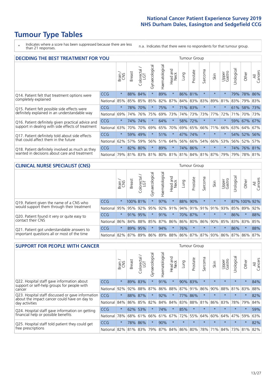# **Tumour Type Tables**

\* Indicates where a score has been suppressed because there are less than 21 responses.

n.a. Indicates that there were no respondents for that tumour group.

| <b>DECIDING THE BEST TREATMENT FOR YOU</b>         |            |         |               |                       |                |                |                        |      | <b>Tumour Group</b> |                             |         |                 |            |             |                |
|----------------------------------------------------|------------|---------|---------------|-----------------------|----------------|----------------|------------------------|------|---------------------|-----------------------------|---------|-----------------|------------|-------------|----------------|
|                                                    |            | Brain   | <b>Breast</b> | olorectal<br>LGT<br>Ũ | Gynaecological | Haematological | ad and<br>Neck<br>Head | Lung | Prostate            | Sarcoma                     | Skin    | Upper<br>Gastro | Jrological | Other       | All<br>Cancers |
| Q14. Patient felt that treatment options were      | CCG        | $\star$ | 88%           | 84%                   | $\star$        | 89%            | $\star$                |      | 86% 81%             | $\star$                     | $\star$ | $\star$         | 79%        | 78%         | 86%            |
| completely explained                               | National   | 85%     | 85%           | 85%                   | 85%            | 82%            | 87%                    |      | 84% 83%             | 83%                         | 89%     | 81%             | 83%        | 79% 83%     |                |
| Q15. Patient felt possible side effects were       | <b>CCG</b> | $\star$ | 78%           | 70%                   |                | 75%            | $\star$                |      | 71% 83%             | $\star$                     | $\star$ | $\star$         |            | 61% 58% 73% |                |
| definitely explained in an understandable way      | National   | 69%     | 74%           | 76%                   | 75%            | 69%            | 73%                    |      | 74% 73%             | 73%                         | 77%     | 72%             | 71%        | 70%         | 73%            |
| Q16. Patient definitely given practical advice and | <b>CCG</b> | $\star$ | 74%           | 74%                   | $\star$        | 64%            | $\star$                |      | 58% 72%             | $\star$                     | $\star$ | $\star$         |            | 59% 67% 67% |                |
| support in dealing with side effects of treatment  | National   | 63%     | 70%           | 70%                   | 69%            | 65%            | 70%                    |      | 69% 65%             | 66%                         | 71%     | 66%             |            | 63% 64%     | 67%            |
| Q17. Patient definitely told about side effects    | <b>CCG</b> | $\star$ | 59%           | 49%                   | $\star$        | 51%            | $\star$                |      | 47% 74%             | $^\star$                    | $\star$ | $\star$         |            | 54% 52%     | 56%            |
| that could affect them in the future               | National   | 62%     | 57%           | 59%                   | 56%            | 51%            | 64%                    |      | 56% 66%             | 54%                         | 66%     | 53%             |            | 56% 52%     | 57%            |
| Q18. Patient definitely involved as much as they   | <b>CCG</b> | $\star$ | 82%           | 80%                   | $\star$        | 89%            | $\star$                |      | 74% 86%             | $\star$                     | $\star$ | $\star$         |            | 74% 76% 81% |                |
| wanted in decisions about care and treatment       | National   | 79%     |               | 81% 83%               |                |                |                        |      |                     | 81% 80% 81% 81% 84% 81% 87% |         | 79%             | 79%        | 78% 81%     |                |

#### **CLINICAL NURSE SPECIALIST (CNS)** Tumour Group

|                                             |            | Brain   | <b>Breast</b>   | Colorectal<br>LGT | Gynaecologica | శా<br>aematologi | Head and<br>Neck | Lung    | Prostate | Sarcoma | Skin    | Upper<br>Gastro                 | $\sigma$<br>rologica | Other        | All<br>Cancers |
|---------------------------------------------|------------|---------|-----------------|-------------------|---------------|------------------|------------------|---------|----------|---------|---------|---------------------------------|----------------------|--------------|----------------|
| Q19. Patient given the name of a CNS who    | CCG        | $\star$ | 100% 81%        |                   |               | 97%              | $\star$          | 88% 90% |          | $\star$ | $\star$ | $\star$                         |                      | 87% 100% 92% |                |
| would support them through their treatment  | National   | 95%     | 95%             | 92%               | 95%           | 92%              | 91%              | 94% 91% |          | 91%     | 91%     | 93%                             | 85%                  | 89%          | 92%            |
| Q20. Patient found it very or quite easy to | CCG        | $\star$ |                 | 91% 95%           |               | 91%              | $\star$          |         | 70% 87%  |         | $\star$ | $\star$                         | 86%                  | $\star$      | 88%            |
| contact their CNS                           | National   |         | 86% 84% 88% 85% |                   |               | 87%              | 86%              | 86% 80% |          |         |         | 86% 90% 85%                     |                      | 83% 83%      | 85%            |
| Q21. Patient got understandable answers to  | <b>CCG</b> | $\star$ | 89%             | 95%               |               | 94%              | $\star$          | 76%     | $\star$  | $\star$ | $\star$ | $\star$                         | 86%                  | $\star$      | 88%            |
| important questions all or most of the time | National   |         | 82% 87% 89% 86% |                   |               |                  |                  |         |          |         |         | 89% 88% 86% 87% 87% 93% 86% 87% |                      | 86%          | 87%            |

| <b>SUPPORT FOR PEOPLE WITH CANCER</b>                                                             |            |         |               |                        |                |                |                        |         | Tumour Group |              |         |                 |           |         |                |
|---------------------------------------------------------------------------------------------------|------------|---------|---------------|------------------------|----------------|----------------|------------------------|---------|--------------|--------------|---------|-----------------|-----------|---------|----------------|
|                                                                                                   |            | Brain   | <b>Breast</b> | olorectal.<br>LGT<br>Ũ | Gynaecological | Haematological | ad and<br>Neck<br>Head | Lung    | Prostate     | arcoma<br>ιñ | Skin    | Upper<br>Gastro | Jrologica | Other   | All<br>Cancers |
| Q22. Hospital staff gave information about<br>support or self-help groups for people with         | <b>CCG</b> | $\star$ | 89%           | 83%                    | $\star$        | 91%            | $\star$                | 90%     | 83%          | $\star$      | $\star$ | $\star$         | $\star$   | $\star$ | 84%            |
| cancer                                                                                            | National   | 92%     | 92%           | 88%                    | 87%            | 86%            | 88%                    |         | 87% 91%      | 86%          | 90%     | 88%             | 81%       | 83%     | 88%            |
| Q23. Hospital staff discussed or gave information<br>about the impact cancer could have on day to | CCG        | $\star$ | 88%           | 87%                    | $\star$        | 92%            | $\star$                | 77%     | 86%          | $\star$      | $\star$ | $\star$         | $\star$   | $\star$ | 82%            |
| day activities                                                                                    | National   | 84%     | 86%           | 85%                    | 82%            | 84%            | 84%                    | 83%     | 88%          | 81%          | 86%     | 83%             | 78%       | 79%     | 84%            |
| Q24. Hospital staff gave information on getting                                                   | CCG        | $\star$ | 62% 53%       |                        | $\star$        | 74%            | $\ast$                 | 85%     | $\star$      | $\star$      | $\star$ | $\star$         | $\star$   | $\star$ | 59%            |
| financial help or possible benefits                                                               | National   | 78%     |               | 68% 61%                | 66%            | 61%            | 67%                    | 72%     | 55%          | 64%          | 60%     | 64%             | 47%       | 59%     | 63%            |
| Q25. Hospital staff told patient they could get                                                   | <b>CCG</b> | $\star$ |               | 78% 86%                | $\star$        | 90%            | $\star$                | $\star$ | $\star$      | $\star$      | $\star$ | $\star$         | $\star$   | $\ast$  | 82%            |
| free prescriptions                                                                                | National   | 82%     |               | 81% 83%                | 79%            |                | 87% 84% 86% 80%        |         |              | 78%          | 71%     | $84\%$          |           | 73% 81% | 82%            |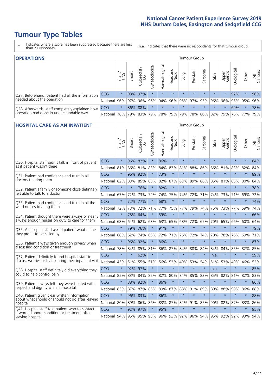# **Tumour Type Tables**

- \* Indicates where a score has been suppressed because there are less than 21 responses.
- n.a. Indicates that there were no respondents for that tumour group.

| <b>OPERATIONS</b>                                |            |         |               |                        |                   |                |                                        |         | Tumour Group |         |         |                 |            |                                                 |                |
|--------------------------------------------------|------------|---------|---------------|------------------------|-------------------|----------------|----------------------------------------|---------|--------------|---------|---------|-----------------|------------|-------------------------------------------------|----------------|
|                                                  |            | Brain   | <b>Breast</b> | olorectal.<br>LGT<br>Ü | ত<br>Gynaecologic | Haematological | Head and<br>Neck                       | Lung    | Prostate     | Sarcoma | Skin    | Upper<br>Gastro | Jrological | Other                                           | All<br>Cancers |
| Q27. Beforehand, patient had all the information | CCG        | $\star$ |               | 98% 97%                | $\star$           |                | $\star$                                | $\star$ | $\star$      | $\star$ | $\star$ | $\star$         | 92%        | $\ast$                                          | 96%            |
| needed about the operation                       | National   | 96%     |               | 97% 96%                |                   |                |                                        |         |              |         |         |                 |            | 96% 94% 96% 95% 97% 95% 96% 96% 95% 95% 95% 96% |                |
| Q28. Afterwards, staff completely explained how  | <b>CCG</b> | $\star$ |               | 86% 88%                | $\star$           | $\star$        | $\star$                                | $\star$ | $\star$      | $\star$ | $\star$ |                 | 69%        | $\star$                                         | 78%            |
| operation had gone in understandable way         | National   | 76%     |               | 79% 83%                |                   |                | 79%  78%  79%  79%  78%  80%  82%  79% |         |              |         |         |                 |            | 76%   77%                                       | 79%            |

#### **HOSPITAL CARE AS AN INPATIENT** Tumour Group

|                                                                                                          |              | Brain   | Breast  | Colorectal /<br>LGT | Gynaecological | Haematological | Head and<br>Neck | Lung        | Prostate | Sarcoma | Skin            | Upper<br>Gastro | Urological | Other   | All<br>Cancers |
|----------------------------------------------------------------------------------------------------------|--------------|---------|---------|---------------------|----------------|----------------|------------------|-------------|----------|---------|-----------------|-----------------|------------|---------|----------------|
| Q30. Hospital staff didn't talk in front of patient                                                      | CCG          | $\star$ | 96%     | 82%                 | $\star$        | 86%            | $\star$          | $\star$     | $\star$  | $\star$ | $\star$         | $\star$         | $\star$    | $\star$ | 84%            |
| as if patient wasn't there                                                                               | National     | 81%     | 86%     | 81%                 | 83%            | 84%            | 83%              | 81%         | 88%      | 86%     | 86%             | 81%             | 83%        | 82%     | 84%            |
| 031. Patient had confidence and trust in all<br>doctors treating them                                    | CCG          | $\star$ | 96%     | 92%                 |                | 73%            | $\star$          | $\star$     | $\star$  | $\star$ | $\star$         |                 | $\star$    | $\star$ | 89%            |
|                                                                                                          | National     | 82%     | 83%     | 85%                 | 83%            | 82%            |                  | 87% 83%     | 89%      | 86%     | 85%             | 81%             | 85%        | 80%     | 84%            |
| Q32. Patient's family or someone close definitely                                                        | CCG          | $\star$ | $\star$ | 76%                 |                | 82%            | $\star$          | $\star$     | $\star$  | $\star$ | $\star$         | $\star$         | $\star$    | $\star$ | 78%            |
| felt able to talk to a doctor                                                                            | National     | 67%     | 72%     | 73%                 | 72%            | 74%            | 75%              | 74%         | 72%      | 71%     | 74%             | 73%             | 71%        | 69%     | 72%            |
| Q33. Patient had confidence and trust in all the                                                         | CCG          | $\star$ | 72%     | 77%                 | $\star$        | 68%            | $\star$          | $\star$     | $\star$  | $\star$ | $\star$         | $\star$         | $\star$    | $\star$ | 74%            |
| ward nurses treating them                                                                                | National     | 72%     | 73%     | 72%                 | 71%            | 77%            | 75%              | 77%         | 79%      | 74%     | 75%             | 73%             | 77%        | 69%     | 74%            |
| Q34. Patient thought there were always or nearly                                                         | CCG          | $\star$ | 78%     | 64%                 | $\star$        | 59%            | $\star$          | $\star$     | $\star$  | $\star$ | $\star$         | $\star$         | $\star$    | $\star$ | 66%            |
| always enough nurses on duty to care for them                                                            | National     | 68%     | 64%     | 62%                 | 63%            | 63%            | 65%              | 68%         | 72%      | 65%     | 70%             | 65%             | 66%        | 60%     | 64%            |
| Q35. All hospital staff asked patient what name<br>they prefer to be called by                           | CCG          | $\star$ |         | 79% 76%             |                | 91%            | $\star$          | $\star$     | $\star$  | $\star$ | $\star$         | $\star$         | $\star$    | $\star$ | 79%            |
|                                                                                                          | National     | 68%     | 62%     | 74%                 | 65%            | 72%            | 71%              | 76%         | 72%      | 74%     | 70%             | 78%             | 76%        | 69%     | 71%            |
| Q36. Patient always given enough privacy when                                                            | CCG          | $\star$ | 96%     | 92%                 | $\star$        | 86%            | $\star$          | $\star$     | $\star$  | $\star$ | $\star$         | $\star$         | $\star$    | $\star$ | 87%            |
| discussing condition or treatment                                                                        | National     | 78%     | 84%     | 85%                 | 81%            |                |                  | 86% 87% 84% | 88%      | 84%     | 84%             | 84%             | 85%        | 82%     | 85%            |
| Q37. Patient definitely found hospital staff to<br>discuss worries or fears during their inpatient visit | CCG          | $\star$ | $\star$ | 62%                 | $\star$        | $\star$        | $\star$          | $\star$     | $\star$  | $\star$ | n.a.            |                 | $\star$    | $\star$ | 59%            |
|                                                                                                          | National     | 45%     | 51%     | 55%                 | 51%            | 56%            | 52%              | 49%         | 53%      | 54%     | 51%             | 53%             | 49%        | 46%     | 52%            |
| Q38. Hospital staff definitely did everything they                                                       | CCG          | $\star$ | 92% 97% |                     | $\star$        | $\star$        | $\star$          | $\star$     | $\star$  | $\star$ | n.a.            | $\star$         | $\star$    | $\star$ | 85%            |
| could to help control pain                                                                               | National     | 85%     | 83%     | 84%                 | 82%            | 82%            | 80%              | 84%         | 85%      | 83%     | 85%             | 82%             | 81%        | 82%     | 83%            |
| Q39. Patient always felt they were treated with                                                          | CCG          | $\star$ | 88%     | 92%                 | $\star$        | 86%            | $\star$          | $\star$     | $\star$  | $\star$ | $\star$         | $\star$         | $\star$    | $\star$ | 86%            |
| respect and dignity while in hospital                                                                    | National     | 85%     |         | 87% 87%             | 85%            |                |                  | 89% 87% 88% | 91%      | 89%     | 89%             | 88%             | 90%        | 86%     | 88%            |
| Q40. Patient given clear written information<br>about what should or should not do after leaving         | CCG          | $\star$ | 96% 83% |                     | $\star$        | 86%            | $\star$          | $\star$     | $\star$  | $\star$ | $\star$         | $\star$         | $\star$    | $\star$ | 88%            |
| hospital                                                                                                 | National     | 80%     | 89%     | 86%                 | 86%            | 83%            |                  | 87% 82%     | 91%      | 85%     | 90%             | 82%             | 87%        | 83%     | 86%            |
| Q41. Hospital staff told patient who to contact<br>if worried about condition or treatment after         | CCG          | $\star$ | 92%     | 97%                 | $\star$        | 95%            | $\star$          | $\star$     | $\star$  | $\star$ | $\star$         | $\star$         | $\star$    | $\star$ | 95%            |
| leaving hospital                                                                                         | National 94% |         |         | 95% 95% 93%         |                |                |                  | 96% 93% 92% |          |         | 96% 94% 95% 92% |                 | 92%        | 93%     | 94%            |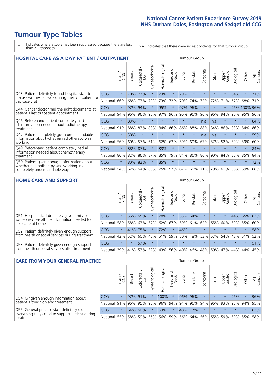# **Tumour Type Tables**

- \* Indicates where a score has been suppressed because there are less than 21 responses.
- n.a. Indicates that there were no respondents for that tumour group.

| <b>HOSPITAL CARE AS A DAY PATIENT / OUTPATIENT</b>                                                                       | <b>Tumour Group</b> |         |               |                 |                |                |                         |         |          |                  |         |                 |            |              |                |
|--------------------------------------------------------------------------------------------------------------------------|---------------------|---------|---------------|-----------------|----------------|----------------|-------------------------|---------|----------|------------------|---------|-----------------|------------|--------------|----------------|
|                                                                                                                          |                     | Brain   | <b>Breast</b> | ╮<br>Colorectal | Gynaecological | Haematological | ead and<br>Neck<br>Head | Lung    | Prostate | arcoma<br>$\sim$ | Skin    | Upper<br>Gastro | Jrological | Other        | All<br>Cancers |
| Q43. Patient definitely found hospital staff to<br>discuss worries or fears during their outpatient or<br>day case visit | CCG                 | $\star$ | 70%           | 77%             | $\star$        | 73%            | $\star$                 | 79%     | $\star$  | $\star$          |         | $\star$         | 64%        | $\star$      | 71%            |
|                                                                                                                          | National            | 66%     | 68%           | 73%             | 70%            | 73%            | 72%                     | 70%     | 74%      | 72%              | 72%     | 71%             | 67%        | 68%          | 71%            |
| Q44. Cancer doctor had the right documents at<br>patient's last outpatient appointment                                   | CCG                 | $\star$ | 97%           | 94%             |                | 95%            | $\star$                 | 97%     | 96%      | $\star$          |         |                 |            | 96% 100% 96% |                |
|                                                                                                                          | National            | 94%     | 96%           | 96%             | 96%            | 97%            | 96%                     | 96%     | 96%      | 96%              | 96%     | 94%             | 96%        | 95%          | 96%            |
| Q46. Beforehand patient completely had<br>all information needed about radiotherapy<br>treatment                         | <b>CCG</b>          | $\star$ | 83%           | $\star$         | $\star$        | $\star$        | $\star$                 | $\star$ | $\star$  | n.a.             | n.a.    | $\star$         | $\star$    | $\star$      | 84%            |
|                                                                                                                          | National            | 91%     | 88%           | 83%             | 88%            | 84%            | 86%                     | 86%     | 88%      | 88%              | 84%     | 86%             | 83%        | 84%          | 86%            |
| Q47. Patient completely given understandable<br>information about whether radiotherapy was<br>working                    | CCG                 | $\star$ | 58%           | $\star$         |                |                | $\star$                 | $\star$ | $\star$  | n.a.             | n.a.    | $\star$         |            | $\ast$       | 59%            |
|                                                                                                                          | National            | 56%     | 60%           | 57%             | 61%            | 62%            | 63%                     | 59%     | 60%      | 67%              | 57%     | 52%             | 59%        | 59%          | 60%            |
| Q49. Beforehand patient completely had all<br>information needed about chemotherapy<br>treatment                         | <b>CCG</b>          | $\star$ | 88%           | 87%             | $\star$        | 83%            | $\star$                 | $\star$ | $\star$  | $\star$          | $\star$ | $\star$         | $\star$    | $\star$      | 84%            |
|                                                                                                                          | National            | 80%     | 82%           | 86%             | 87%            | 85%            | 79%                     | 84%     | 86%      | 86%              | 90%     | 84%             | 85%        | 85%          | 84%            |
| Q50. Patient given enough information about                                                                              | <b>CCG</b>          | $\star$ | 80%           | 82%             | $\star$        | 85%            | $\star$                 | $\star$ | $\star$  | $\star$          | $\star$ | $\star$         | $\star$    | $\star$      | 72%            |
| whether chemotherapy was working in a<br>completely understandable way                                                   | National            | 54%     | 62%           | 64%             | 68%            | 75%            |                         | 57% 67% | 66%      | 71%              | 79%     | 61%             | 68%        | 69%          | 68%            |

#### **HOME CARE AND SUPPORT** Tumour Group

|                                                                                                                   |            | Brain   | <b>Breast</b> | Colorectal<br>LGT | $\overline{\sigma}$<br>Gynaecologic | ত<br>Haematologic | ad and<br>Neck<br>Head | Lung    | Prostate | Sarcoma | Skin    | Upper<br>Gastro | rological   | Other   | All<br>Cancers |
|-------------------------------------------------------------------------------------------------------------------|------------|---------|---------------|-------------------|-------------------------------------|-------------------|------------------------|---------|----------|---------|---------|-----------------|-------------|---------|----------------|
| Q51. Hospital staff definitely gave family or<br>someone close all the information needed to<br>help care at home | <b>CCG</b> | $\star$ |               | 55% 65%           |                                     | 78%               | $\star$                | 55%     | 64%      |         | $\star$ | $\star$         | 44%         | 65%     | 62%            |
|                                                                                                                   | National   | 58%     |               | 58% 63%           | 57%                                 | 62%               | 67%                    |         | 59% 61%  |         | 62% 65% | 60%             | 59%         | 55%     | 60%            |
| Q52. Patient definitely given enough support<br>from health or social services during treatment                   | <b>CCG</b> | $\star$ | 41% 75%       |                   |                                     | 72%               | $\star$                | 46%     |          |         |         | $\star$         | $\star$     | $\star$ | 58%            |
|                                                                                                                   | National   | 42%     | 52%           | 60%               |                                     | 45% 51%           | 59%                    | 50%     | 48%      |         | 53% 57% |                 | 54% 48% 51% |         | 52%            |
| Q53. Patient definitely given enough support<br>from health or social services after treatment                    | <b>CCG</b> | $\star$ | $\star$       | 57%               | $\star$                             | $\star$           | $\star$                | $\star$ | $\star$  | $\star$ | $\star$ | $\star$         | $\star$     | $\star$ | 51%            |
|                                                                                                                   | National   | 39%     | 41% 53%       |                   | 39%                                 | $ 43\% $          | 56%                    | 40%     | 46%      |         | 48% 59% | 47%             | 44%         | 44%     | 45%            |

| <b>CARE FROM YOUR GENERAL PRACTICE</b>                                                                     |              |               |               |                        |               |                |                  | <b>Tumour Group</b> |          |         |                                         |                 |                |         |                |  |  |
|------------------------------------------------------------------------------------------------------------|--------------|---------------|---------------|------------------------|---------------|----------------|------------------|---------------------|----------|---------|-----------------------------------------|-----------------|----------------|---------|----------------|--|--|
|                                                                                                            |              | Brain.<br>CNS | <b>Breast</b> | ╮<br>Colorectal<br>LGT | Gynaecologica | Haematological | Head and<br>Neck | Lung                | Prostate | Sarcoma | Skin                                    | Upper<br>Gastro | Б<br>Urologica | Other   | All<br>Cancers |  |  |
| Q54. GP given enough information about<br>patient's condition and treatment                                | CCG          | $\star$       |               | 97% 91%                |               | 100%           | $\ast$           |                     | 96% 96%  |         | $\star$                                 |                 | 96%            | $\star$ | 96%            |  |  |
|                                                                                                            | National 91% |               |               |                        | 96% 95% 95%   |                |                  |                     |          |         | 96% 94% 94% 96% 94% 96% 93% 95% 94%     |                 |                |         | 95%            |  |  |
| Q55. General practice staff definitely did<br>everything they could to support patient during<br>treatment | <b>CCG</b>   | $\star$       | 64%           | 60%                    |               | 63%            | $\star$          |                     | 48% 77%  |         | $\star$                                 | $\star$         | $\star$        | $\star$ | 62%            |  |  |
|                                                                                                            | National 55% |               |               | 58% 59%                | 56%           |                | 56% 59%          |                     |          |         | 56%   64%   56%   65%   59%   59%   55% |                 |                |         | 58%            |  |  |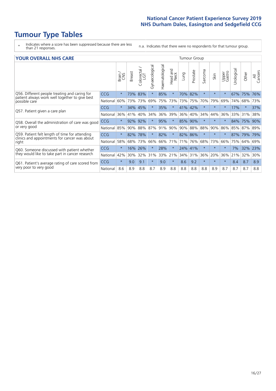# **Tumour Type Tables**

- \* Indicates where a score has been suppressed because there are less than 21 responses.
- n.a. Indicates that there were no respondents for that tumour group.

|  |  |  | <b>YOUR OVERALL NHS CARE</b> |
|--|--|--|------------------------------|
|--|--|--|------------------------------|

| <b>YOUR OVERALL NHS CARE</b>                                                                             |            |              |               |                     |                |                |                        |         |          | <b>Tumour Group</b> |        |                 |            |         |                |  |  |  |
|----------------------------------------------------------------------------------------------------------|------------|--------------|---------------|---------------------|----------------|----------------|------------------------|---------|----------|---------------------|--------|-----------------|------------|---------|----------------|--|--|--|
|                                                                                                          |            | Brain<br>CXS | <b>Breast</b> | Colorectal /<br>LGT | Gynaecological | Haematological | ad and<br>Neck<br>Head | Lung    | Prostate | Sarcoma             | Skin   | Upper<br>Gastro | Urological | Other   | All<br>Cancers |  |  |  |
| Q56. Different people treating and caring for<br>patient always work well together to give best          | CCG        | $\star$      | 73%           | 83%                 | $\star$        | 85%            | $\ast$                 | 70%     | 82%      | $\star$             |        | $\star$         | 67%        | 75%     | 76%            |  |  |  |
| possible care                                                                                            | National   | 60%          | 73%           | 73%                 | 69%            | 75%            | 73%                    | 73%     | 75%      | 70%                 | 79%    | 69%             | 74%        | 68%     | 73%            |  |  |  |
| Q57. Patient given a care plan                                                                           | CCG        | $\star$      | 34%           | 45%                 |                | 35%            | $\star$                | 41%     | 42%      | $\star$             |        |                 | 17%        | $\star$ | 37%            |  |  |  |
|                                                                                                          | National   | 36%          | 41%           | 40%                 | 34%            | 36%            | 39%                    |         | 36% 40%  | 34%                 | 44%    | 36%             | 33% 31%    |         | 38%            |  |  |  |
| Q58. Overall the administration of care was good<br>or very good                                         | <b>CCG</b> | $\star$      | 92% 92%       |                     |                | 95%            | $\star$                | 85% 90% |          | $\star$             |        |                 | 84% 75%    |         | 90%            |  |  |  |
|                                                                                                          | National   | 85%          | 90%           | 88%                 | 87%            | 91%            | 90%                    |         | 90% 88%  | 88%                 | 90%    | 86%             | 85% 87%    |         | 89%            |  |  |  |
| Q59. Patient felt length of time for attending<br>clinics and appointments for cancer was about<br>right | CCG        | $\star$      | 82%           | 78%                 |                | 82%            | $\ast$                 | 82% 86% |          | $\star$             | $\ast$ | $\star$         | 87%        | 79%     | 79%            |  |  |  |
|                                                                                                          | National   | 58%          | 68%           | 73%                 | 66%            | 66%            | 71%                    | 71%     | 76%      | 68%                 | 73%    | 66%             | 75%        | 64%     | 69%            |  |  |  |
| Q60. Someone discussed with patient whether<br>they would like to take part in cancer research           | CCG        | $\star$      | 16%           | 26%                 |                | 28%            | $\star$                | 24% 41% |          | $\star$             |        | $\star$         | 7%         | 32%     | 23%            |  |  |  |
|                                                                                                          | National   | 42%          | 30%           | 32%                 | 31%            | 33%            | 21%                    |         | 34% 31%  | 36%                 | 20%    | 36%             | 21%        | 32%     | 30%            |  |  |  |
| Q61. Patient's average rating of care scored from                                                        | CCG        | $\star$      | 9.0           | 9.1                 | $\star$        | 9.0            | $\ast$                 | 8.6     | 9.2      | $\star$             |        | $\star$         | 8.4        | 8.7     | 8.9            |  |  |  |
| very poor to very good                                                                                   | National   | 8.6          | 8.9           | 8.8                 | 8.7            | 8.9            | 8.8                    | 8.8     | 8.8      | 8.8                 | 8.9    | 8.7             | 8.7        | 8.7     | 8.8            |  |  |  |
|                                                                                                          |            |              |               |                     |                |                |                        |         |          |                     |        |                 |            |         |                |  |  |  |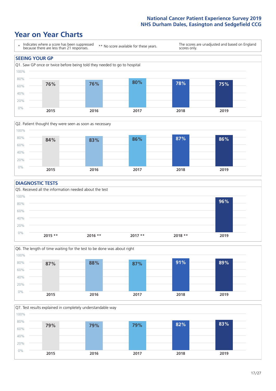### **Year on Year Charts**





#### **DIAGNOSTIC TESTS**





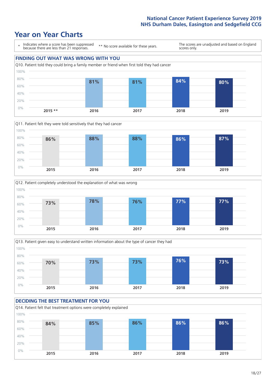







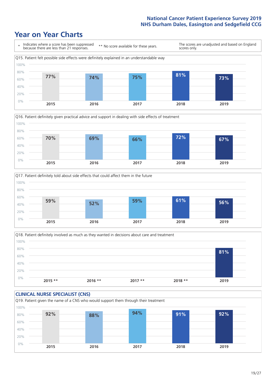





Q18. Patient definitely involved as much as they wanted in decisions about care and treatment  $0%$ 20% 40% 60% 80% 100% **2015 \*\* 2016 \*\* 2017 \*\* 2018 \*\* 2019 81%**

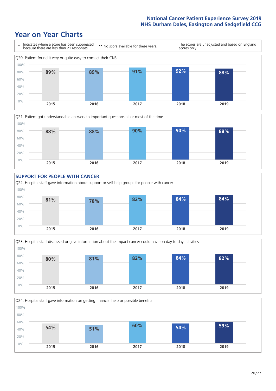### **Year on Year Charts**









**2015 2016 2017 2018 2019**

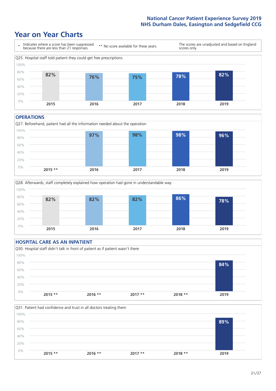### **Year on Year Charts**



#### **OPERATIONS**





#### **HOSPITAL CARE AS AN INPATIENT** Q30. Hospital staff didn't talk in front of patient as if patient wasn't there 0% 20% 40% 60% 80% 100% **2015 \*\* 2016 \*\* 2017 \*\* 2018 \*\* 2019 84%**

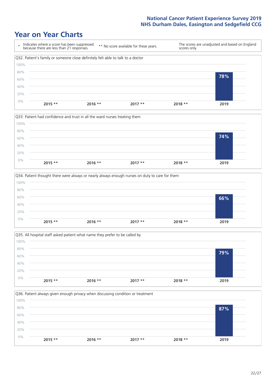







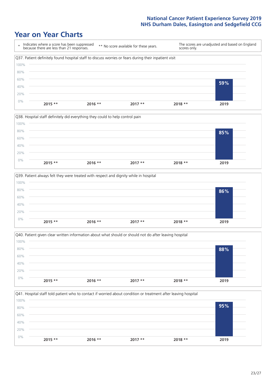







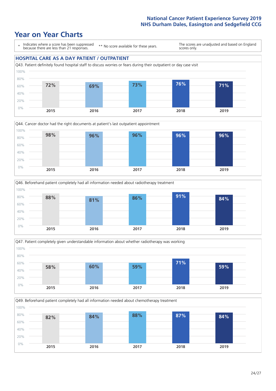







Q49. Beforehand patient completely had all information needed about chemotherapy treatment 100%

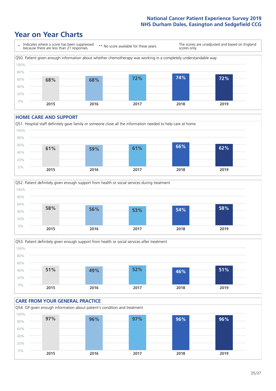### **Year on Year Charts**



#### **HOME CARE AND SUPPORT**







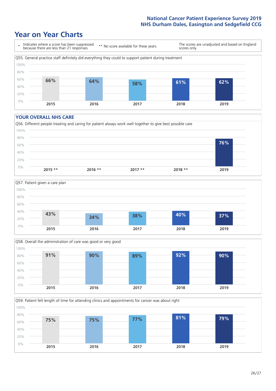### **Year on Year Charts**



#### **YOUR OVERALL NHS CARE**







Q59. Patient felt length of time for attending clinics and appointments for cancer was about right 0% 20% 40% 60% 80% 100% **2015 2016 2017 2018 2019 75% 75% 77% 81% 79%**